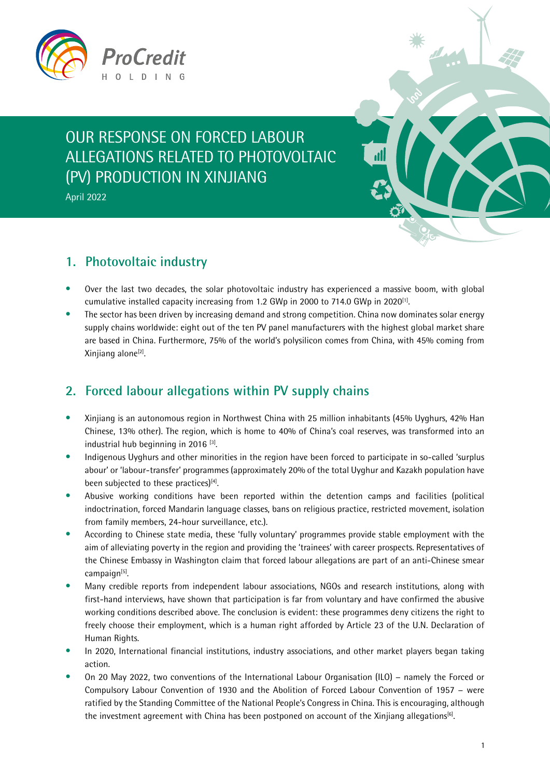

# OUR RESPONSE ON FORCED LABOUR ALLEGATIONS RELATED TO PHOTOVOLTAIC (PV) PRODUCTION IN XINJIANG

April 2022

#### **1. Photovoltaic industry**

- Over the last two decades, the solar photovoltaic industry has experienced a massive boom, with global cumulative installed capacity increasing from 1.2 GWp in 2000 to 714.0 GWp in 2020<sup>[1]</sup>.
- The sector has been driven by increasing demand and strong competition. China now dominates solar energy supply chains worldwide: eight out of the ten PV panel manufacturers with the highest global market share are based in China. Furthermore, 75% of the world's polysilicon comes from China, with 45% coming from Xinjiang alone<sup>[2]</sup>.

## **2. Forced labour allegations within PV supply chains**

- Xinjiang is an autonomous region in Northwest China with 25 million inhabitants (45% Uyghurs, 42% Han Chinese, 13% other). The region, which is home to 40% of China's coal reserves, was transformed into an industrial hub beginning in 2016<sup>[3]</sup>.
- Indigenous Uyghurs and other minorities in the region have been forced to participate in so-called 'surplus abour' or 'labour-transfer' programmes (approximately 20% of the total Uyghur and Kazakh population have been subjected to these practices)<sup>[4]</sup>.
- Abusive working conditions have been reported within the detention camps and facilities (political indoctrination, forced Mandarin language classes, bans on religious practice, restricted movement, isolation from family members, 24-hour surveillance, etc.).
- According to Chinese state media, these 'fully voluntary' programmes provide stable employment with the aim of alleviating poverty in the region and providing the 'trainees' with career prospects. Representatives of the Chinese Embassy in Washington claim that forced labour allegations are part of an anti-Chinese smear campaign[5].
- Many credible reports from independent labour associations, NGOs and research institutions, along with first-hand interviews, have shown that participation is far from voluntary and have confirmed the abusive working conditions described above. The conclusion is evident: these programmes deny citizens the right to freely choose their employment, which is a human right afforded by Article 23 of the U.N. Declaration of Human Rights.
- In 2020, International financial institutions, industry associations, and other market players began taking action.
- On 20 May 2022, two conventions of the International Labour Organisation (ILO) − namely the Forced or Compulsory Labour Convention of 1930 and the Abolition of Forced Labour Convention of 1957 − were ratified by the Standing Committee of the National People's Congress in China. This is encouraging, although the investment agreement with China has been postponed on account of the Xinjiang allegations<sup>[6]</sup>.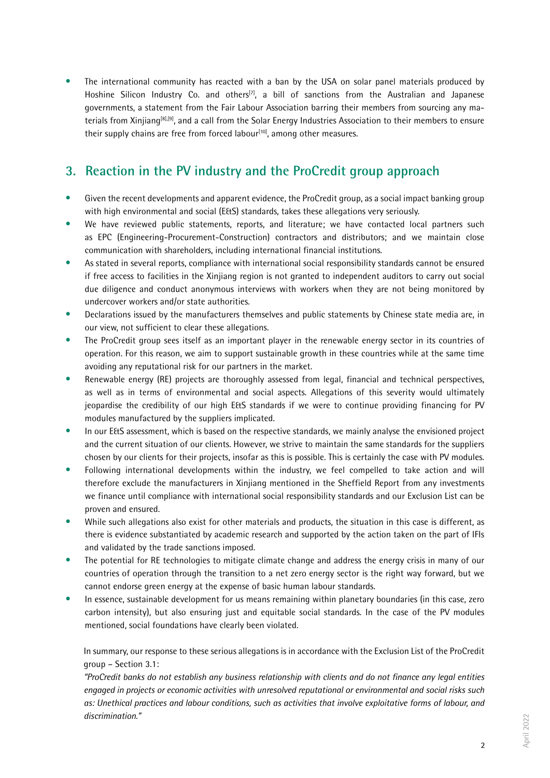The international community has reacted with a ban by the USA on solar panel materials produced by Hoshine Silicon Industry Co. and others<sup>[7]</sup>, a bill of sanctions from the Australian and Japanese governments, a statement from the Fair Labour Association barring their members from sourcing any materials from Xinjiang[8],[9], and a call from the Solar Energy Industries Association to their members to ensure their supply chains are free from forced labour $[10]$ , among other measures.

### **3. Reaction in the PV industry and the ProCredit group approach**

- Given the recent developments and apparent evidence, the ProCredit group, as a social impact banking group with high environmental and social (E&S) standards, takes these allegations very seriously.
- We have reviewed public statements, reports, and literature; we have contacted local partners such as EPC (Engineering-Procurement-Construction) contractors and distributors; and we maintain close communication with shareholders, including international financial institutions.
- As stated in several reports, compliance with international social responsibility standards cannot be ensured if free access to facilities in the Xinjiang region is not granted to independent auditors to carry out social due diligence and conduct anonymous interviews with workers when they are not being monitored by undercover workers and/or state authorities.
- Declarations issued by the manufacturers themselves and public statements by Chinese state media are, in our view, not sufficient to clear these allegations.
- The ProCredit group sees itself as an important player in the renewable energy sector in its countries of operation. For this reason, we aim to support sustainable growth in these countries while at the same time avoiding any reputational risk for our partners in the market.
- Renewable energy (RE) projects are thoroughly assessed from legal, financial and technical perspectives, as well as in terms of environmental and social aspects. Allegations of this severity would ultimately jeopardise the credibility of our high E&S standards if we were to continue providing financing for PV modules manufactured by the suppliers implicated.
- In our E&S assessment, which is based on the respective standards, we mainly analyse the envisioned project and the current situation of our clients. However, we strive to maintain the same standards for the suppliers chosen by our clients for their projects, insofar as this is possible. This is certainly the case with PV modules.
- Following international developments within the industry, we feel compelled to take action and will therefore exclude the manufacturers in Xinjiang mentioned in the Sheffield Report from any investments we finance until compliance with international social responsibility standards and our Exclusion List can be proven and ensured.
- While such allegations also exist for other materials and products, the situation in this case is different, as there is evidence substantiated by academic research and supported by the action taken on the part of IFIs and validated by the trade sanctions imposed.
- The potential for RE technologies to mitigate climate change and address the energy crisis in many of our countries of operation through the transition to a net zero energy sector is the right way forward, but we cannot endorse green energy at the expense of basic human labour standards.
- In essence, sustainable development for us means remaining within planetary boundaries (in this case, zero carbon intensity), but also ensuring just and equitable social standards. In the case of the PV modules mentioned, social foundations have clearly been violated.

In summary, our response to these serious allegations is in accordance with the Exclusion List of the ProCredit group – Section 3.1:

*"ProCredit banks do not establish any business relationship with clients and do not finance any legal entities engaged in projects or economic activities with unresolved reputational or environmental and social risks such as: Unethical practices and labour conditions, such as activities that involve exploitative forms of labour, and discrimination."*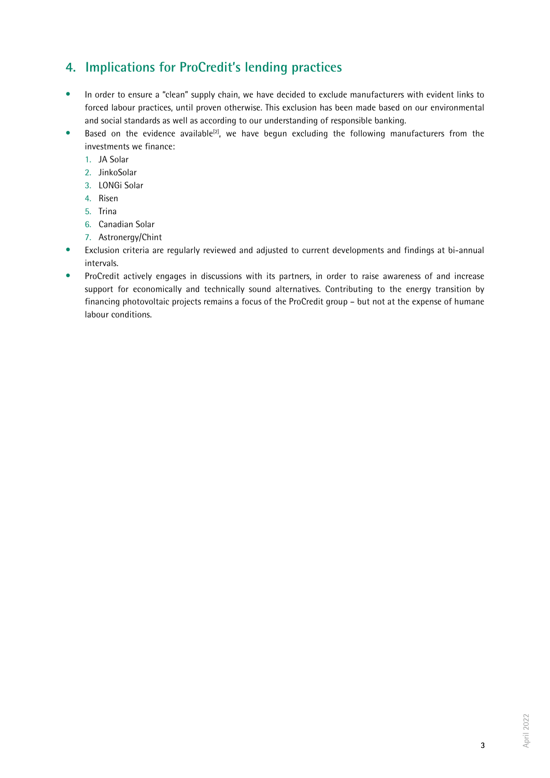### **4. Implications for ProCredit's lending practices**

- In order to ensure a "clean" supply chain, we have decided to exclude manufacturers with evident links to forced labour practices, until proven otherwise. This exclusion has been made based on our environmental and social standards as well as according to our understanding of responsible banking.
- Based on the evidence available<sup>[2]</sup>, we have begun excluding the following manufacturers from the investments we finance:
	- 1. JA Solar
	- 2. JinkoSolar
	- 3. LONGi Solar
	- 4. Risen
	- 5. Trina
	- 6. Canadian Solar
	- 7. Astronergy/Chint
- Exclusion criteria are regularly reviewed and adjusted to current developments and findings at bi-annual intervals.
- ProCredit actively engages in discussions with its partners, in order to raise awareness of and increase support for economically and technically sound alternatives. Contributing to the energy transition by financing photovoltaic projects remains a focus of the ProCredit group – but not at the expense of humane labour conditions.

3